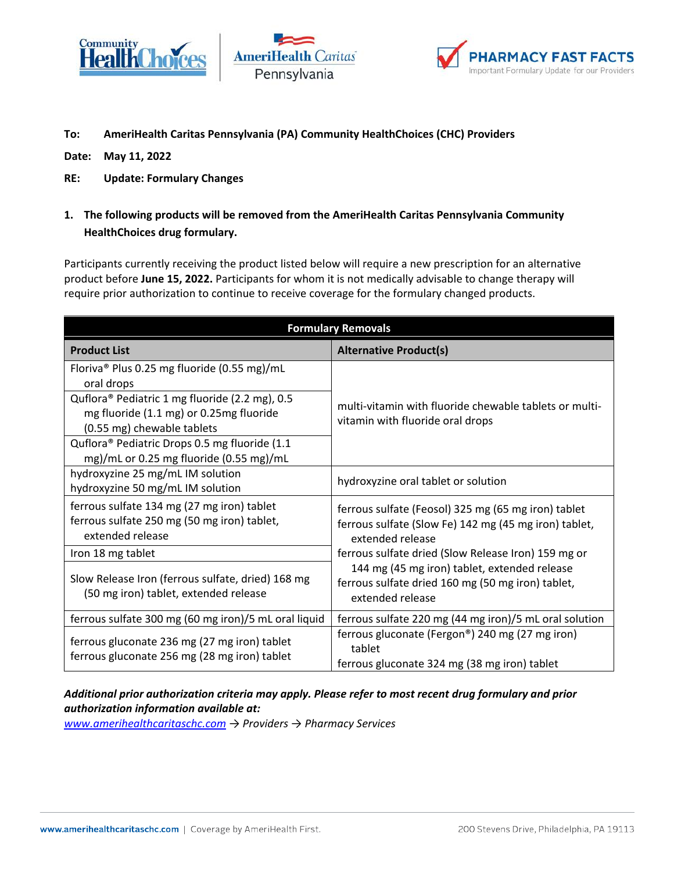





## **To: AmeriHealth Caritas Pennsylvania (PA) Community HealthChoices (CHC) Providers**

**Date: May 11, 2022**

- **RE: Update: Formulary Changes**
- **1. The following products will be removed from the AmeriHealth Caritas Pennsylvania Community HealthChoices drug formulary.**

Participants currently receiving the product listed below will require a new prescription for an alternative product before **June 15, 2022.** Participants for whom it is not medically advisable to change therapy will require prior authorization to continue to receive coverage for the formulary changed products.

| <b>Formulary Removals</b>                                                                                               |                                                                                                                                                                                         |
|-------------------------------------------------------------------------------------------------------------------------|-----------------------------------------------------------------------------------------------------------------------------------------------------------------------------------------|
| <b>Product List</b>                                                                                                     | <b>Alternative Product(s)</b>                                                                                                                                                           |
| Floriva <sup>®</sup> Plus 0.25 mg fluoride (0.55 mg)/mL<br>oral drops                                                   | multi-vitamin with fluoride chewable tablets or multi-<br>vitamin with fluoride oral drops                                                                                              |
| Quflora® Pediatric 1 mg fluoride (2.2 mg), 0.5<br>mg fluoride (1.1 mg) or 0.25mg fluoride<br>(0.55 mg) chewable tablets |                                                                                                                                                                                         |
| Quflora® Pediatric Drops 0.5 mg fluoride (1.1<br>mg)/mL or 0.25 mg fluoride (0.55 mg)/mL                                |                                                                                                                                                                                         |
| hydroxyzine 25 mg/mL IM solution<br>hydroxyzine 50 mg/mL IM solution                                                    | hydroxyzine oral tablet or solution                                                                                                                                                     |
| ferrous sulfate 134 mg (27 mg iron) tablet<br>ferrous sulfate 250 mg (50 mg iron) tablet,<br>extended release           | ferrous sulfate (Feosol) 325 mg (65 mg iron) tablet<br>ferrous sulfate (Slow Fe) 142 mg (45 mg iron) tablet,<br>extended release<br>ferrous sulfate dried (Slow Release Iron) 159 mg or |
| Iron 18 mg tablet                                                                                                       |                                                                                                                                                                                         |
| Slow Release Iron (ferrous sulfate, dried) 168 mg<br>(50 mg iron) tablet, extended release                              | 144 mg (45 mg iron) tablet, extended release<br>ferrous sulfate dried 160 mg (50 mg iron) tablet,<br>extended release                                                                   |
| ferrous sulfate 300 mg (60 mg iron)/5 mL oral liquid                                                                    | ferrous sulfate 220 mg (44 mg iron)/5 mL oral solution                                                                                                                                  |
| ferrous gluconate 236 mg (27 mg iron) tablet<br>ferrous gluconate 256 mg (28 mg iron) tablet                            | ferrous gluconate (Fergon®) 240 mg (27 mg iron)<br>tablet<br>ferrous gluconate 324 mg (38 mg iron) tablet                                                                               |

## *Additional prior authorization criteria may apply. Please refer to most recent drug formulary and prior authorization information available at:*

*[www.amerihealthcaritaschc.com](http://www.amerihealthcaritaschc.com/) → Providers → Pharmacy Services*